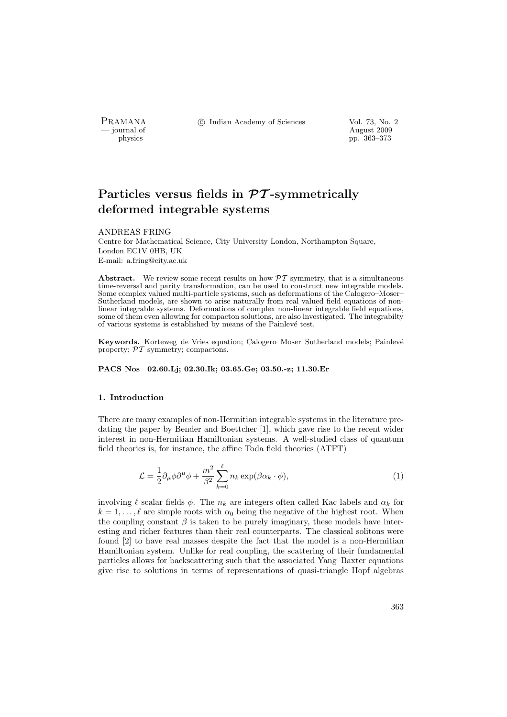PRAMANA °c Indian Academy of Sciences Vol. 73, No. 2

physics and the contract of the contract of the contract of the contract of the contract of the contract of the contract of the contract of the contract of the contract of the contract of the contract of the contract of th physics pp. 363–373

# Particles versus fields in  $\mathcal{PT}$ -symmetrically deformed integrable systems

## ANDREAS FRING

Centre for Mathematical Science, City University London, Northampton Square, London EC1V 0HB, UK E-mail: a.fring@city.ac.uk

Abstract. We review some recent results on how  $\mathcal{PT}$  symmetry, that is a simultaneous time-reversal and parity transformation, can be used to construct new integrable models. Some complex valued multi-particle systems, such as deformations of the Calogero–Moser– Sutherland models, are shown to arise naturally from real valued field equations of nonlinear integrable systems. Deformations of complex non-linear integrable field equations, some of them even allowing for compacton solutions, are also investigated. The integrabilty of various systems is established by means of the Painlev´e test.

Keywords. Korteweg–de Vries equation: Calogero–Moser–Sutherland models; Painlevé property;  $\mathcal{PT}$  symmetry; compactons.

# PACS Nos 02.60.Lj; 02.30.Ik; 03.65.Ge; 03.50.-z; 11.30.Er

## 1. Introduction

There are many examples of non-Hermitian integrable systems in the literature predating the paper by Bender and Boettcher [1], which gave rise to the recent wider interest in non-Hermitian Hamiltonian systems. A well-studied class of quantum field theories is, for instance, the affine Toda field theories (ATFT)

$$
\mathcal{L} = \frac{1}{2} \partial_{\mu} \phi \partial^{\mu} \phi + \frac{m^2}{\beta^2} \sum_{k=0}^{\ell} n_k \exp(\beta \alpha_k \cdot \phi), \tag{1}
$$

involving  $\ell$  scalar fields  $\phi$ . The  $n_k$  are integers often called Kac labels and  $\alpha_k$  for  $k = 1, \ldots, \ell$  are simple roots with  $\alpha_0$  being the negative of the highest root. When the coupling constant  $\beta$  is taken to be purely imaginary, these models have interesting and richer features than their real counterparts. The classical solitons were found [2] to have real masses despite the fact that the model is a non-Hermitian Hamiltonian system. Unlike for real coupling, the scattering of their fundamental particles allows for backscattering such that the associated Yang–Baxter equations give rise to solutions in terms of representations of quasi-triangle Hopf algebras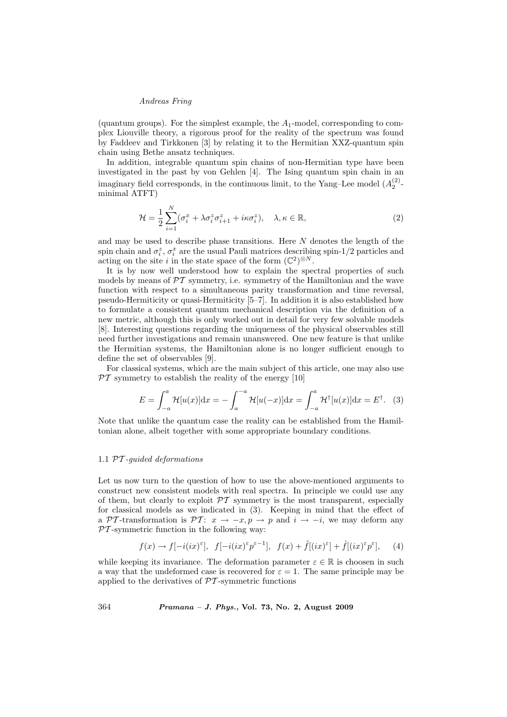(quantum groups). For the simplest example, the  $A_1$ -model, corresponding to complex Liouville theory, a rigorous proof for the reality of the spectrum was found by Faddeev and Tirkkonen [3] by relating it to the Hermitian XXZ-quantum spin chain using Bethe ansatz techniques.

In addition, integrable quantum spin chains of non-Hermitian type have been investigated in the past by von Gehlen [4]. The Ising quantum spin chain in an imaginary field corresponds, in the continuous limit, to the Yang–Lee model  $(A_2^{(2)}$ minimal ATFT)

$$
\mathcal{H} = \frac{1}{2} \sum_{i=1}^{N} (\sigma_i^x + \lambda \sigma_i^z \sigma_{i+1}^z + i\kappa \sigma_i^z), \quad \lambda, \kappa \in \mathbb{R},
$$
\n(2)

and may be used to describe phase transitions. Here N denotes the length of the spin chain and  $\sigma_i^z$ ,  $\sigma_i^x$  are the usual Pauli matrices describing spin-1/2 particles and acting on the site i in the state space of the form  $(\mathbb{C}^2)^{\otimes N}$ .

It is by now well understood how to explain the spectral properties of such models by means of  $\mathcal{PT}$  symmetry, i.e. symmetry of the Hamiltonian and the wave function with respect to a simultaneous parity transformation and time reversal, pseudo-Hermiticity or quasi-Hermiticity [5–7]. In addition it is also established how to formulate a consistent quantum mechanical description via the definition of a new metric, although this is only worked out in detail for very few solvable models [8]. Interesting questions regarding the uniqueness of the physical observables still need further investigations and remain unanswered. One new feature is that unlike the Hermitian systems, the Hamiltonian alone is no longer sufficient enough to define the set of observables [9].

For classical systems, which are the main subject of this article, one may also use  $\overline{PT}$  symmetry to establish the reality of the energy [10]

$$
E = \int_{-a}^{a} \mathcal{H}[u(x)]dx = -\int_{a}^{-a} \mathcal{H}[u(-x)]dx = \int_{-a}^{a} \mathcal{H}^{\dagger}[u(x)]dx = E^{\dagger}.
$$
 (3)

Note that unlike the quantum case the reality can be established from the Hamiltonian alone, albeit together with some appropriate boundary conditions.

## 1.1 PT -guided deformations

Let us now turn to the question of how to use the above-mentioned arguments to construct new consistent models with real spectra. In principle we could use any of them, but clearly to exploit  $\mathcal{P}\mathcal{T}$  symmetry is the most transparent, especially for classical models as we indicated in (3). Keeping in mind that the effect of a PT-transformation is PT:  $x \to -x, p \to p$  and  $i \to -i$ , we may deform any  $PT$ -symmetric function in the following way:

$$
f(x) \to f[-i(ix)^{\varepsilon}], \quad f[-i(ix)^{\varepsilon}p^{\varepsilon-1}], \quad f(x) + \tilde{f}[(ix)^{\varepsilon}] + \hat{f}[(ix)^{\varepsilon}p^{\varepsilon}], \quad (4)
$$

while keeping its invariance. The deformation parameter  $\varepsilon \in \mathbb{R}$  is choosen in such a way that the undeformed case is recovered for  $\varepsilon = 1$ . The same principle may be applied to the derivatives of  $\mathcal{P}\mathcal{T}$ -symmetric functions

364 Pramana – J. Phys., Vol. 73, No. 2, August 2009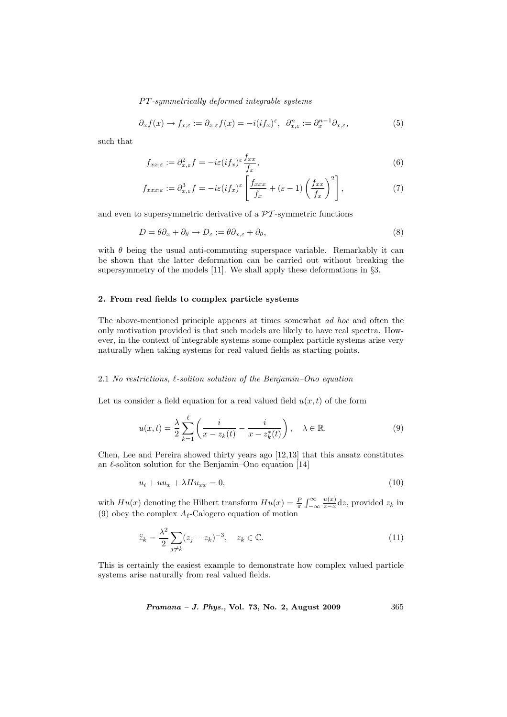$$
\partial_x f(x) \to f_{x;\varepsilon} := \partial_{x,\varepsilon} f(x) = -i(if_x)^{\varepsilon}, \ \ \partial_{x,\varepsilon}^n := \partial_x^{n-1} \partial_{x,\varepsilon},\tag{5}
$$

such that

$$
f_{xx;\varepsilon} := \partial_{x,\varepsilon}^2 f = -i\varepsilon (i f_x)^{\varepsilon} \frac{f_{xx}}{f_x},\tag{6}
$$

$$
f_{xxx;\varepsilon} := \partial_{x,\varepsilon}^3 f = -i\varepsilon (if_x)^{\varepsilon} \left[ \frac{f_{xxx}}{f_x} + (\varepsilon - 1) \left( \frac{f_{xx}}{f_x} \right)^2 \right],\tag{7}
$$

and even to supersymmetric derivative of a  $\mathcal{P}\mathcal{T}$ -symmetric functions

$$
D = \theta \partial_x + \partial_\theta \to D_\varepsilon := \theta \partial_{x,\varepsilon} + \partial_\theta,\tag{8}
$$

with  $\theta$  being the usual anti-commuting superspace variable. Remarkably it can be shown that the latter deformation can be carried out without breaking the supersymmetry of the models [11]. We shall apply these deformations in §3.

# 2. From real fields to complex particle systems

The above-mentioned principle appears at times somewhat ad hoc and often the only motivation provided is that such models are likely to have real spectra. However, in the context of integrable systems some complex particle systems arise very naturally when taking systems for real valued fields as starting points.

# 2.1 No restrictions,  $\ell$ -soliton solution of the Benjamin–Ono equation

Let us consider a field equation for a real valued field  $u(x, t)$  of the form

$$
u(x,t) = \frac{\lambda}{2} \sum_{k=1}^{\ell} \left( \frac{i}{x - z_k(t)} - \frac{i}{x - z_k^*(t)} \right), \quad \lambda \in \mathbb{R}.
$$
 (9)

Chen, Lee and Pereira showed thirty years ago [12,13] that this ansatz constitutes an  $\ell$ -soliton solution for the Benjamin–Ono equation [14]

$$
u_t + uu_x + \lambda Hu_{xx} = 0,\t\t(10)
$$

with  $Hu(x)$  denoting the Hilbert transform  $Hu(x) = \frac{P}{\pi}$  $r^{\infty}$ −∞  $u(x)$  $\frac{u(x)}{z-x}$ dz, provided  $z_k$  in (9) obey the complex  $A_{\ell}$ -Calogero equation of motion

$$
\ddot{z}_k = \frac{\lambda^2}{2} \sum_{j \neq k} (z_j - z_k)^{-3}, \quad z_k \in \mathbb{C}.\tag{11}
$$

This is certainly the easiest example to demonstrate how complex valued particle systems arise naturally from real valued fields.

Pramana – J. Phys., Vol. 73, No. 2, August 2009 365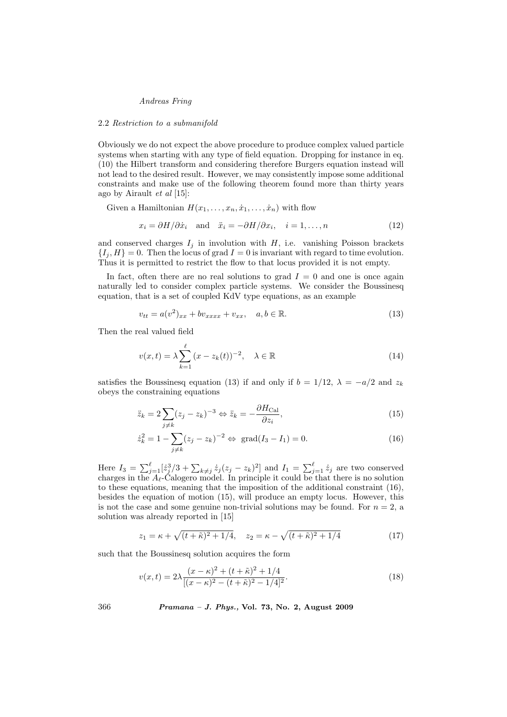#### 2.2 Restriction to a submanifold

Obviously we do not expect the above procedure to produce complex valued particle systems when starting with any type of field equation. Dropping for instance in eq. (10) the Hilbert transform and considering therefore Burgers equation instead will not lead to the desired result. However, we may consistently impose some additional constraints and make use of the following theorem found more than thirty years ago by Airault et al [15]:

Given a Hamiltonian  $H(x_1, \ldots, x_n, \dot{x}_1, \ldots, \dot{x}_n)$  with flow

$$
x_i = \partial H / \partial \dot{x}_i \quad \text{and} \quad \ddot{x}_i = -\partial H / \partial x_i, \quad i = 1, \dots, n \tag{12}
$$

and conserved charges  $I_j$  in involution with  $H$ , i.e. vanishing Poisson brackets  $\{I_i, H\} = 0$ . Then the locus of grad  $I = 0$  is invariant with regard to time evolution. Thus it is permitted to restrict the flow to that locus provided it is not empty.

In fact, often there are no real solutions to grad  $I = 0$  and one is once again naturally led to consider complex particle systems. We consider the Boussinesq equation, that is a set of coupled KdV type equations, as an example

$$
v_{tt} = a(v^2)_{xx} + bv_{xxxx} + v_{xx}, \quad a, b \in \mathbb{R}.\tag{13}
$$

Then the real valued field

$$
v(x,t) = \lambda \sum_{k=1}^{\ell} (x - z_k(t))^{-2}, \quad \lambda \in \mathbb{R}
$$
 (14)

satisfies the Boussinesq equation (13) if and only if  $b = 1/12$ ,  $\lambda = -a/2$  and  $z_k$ obeys the constraining equations

$$
\ddot{z}_k = 2 \sum_{j \neq k} (z_j - z_k)^{-3} \Leftrightarrow \ddot{z}_k = -\frac{\partial H_{\text{Cal}}}{\partial z_i},\tag{15}
$$

$$
\dot{z}_k^2 = 1 - \sum_{j \neq k} (z_j - z_k)^{-2} \Leftrightarrow \text{ grad}(I_3 - I_1) = 0. \tag{16}
$$

Here  $I_3 = \sum_{j=1}^{\ell} \left[\dot{z}_j^3/3 + \sum_{k \neq j} \dot{z}_j (z_j - z_k)^2\right]$  and  $I_1 = \sum_{j=1}^{\ell} \dot{z}_j$  are two conserved charges in the  $A_{\ell}$ -Calogero model. In principle it could be that there is no solution to these equations, meaning that the imposition of the additional constraint (16), besides the equation of motion (15), will produce an empty locus. However, this is not the case and some genuine non-trivial solutions may be found. For  $n = 2$ , a solution was already reported in [15]

$$
z_1 = \kappa + \sqrt{(t + \tilde{\kappa})^2 + 1/4}, \quad z_2 = \kappa - \sqrt{(t + \tilde{\kappa})^2 + 1/4}
$$
 (17)

such that the Boussinesq solution acquires the form

$$
v(x,t) = 2\lambda \frac{(x-\kappa)^2 + (t+\tilde{\kappa})^2 + 1/4}{[(x-\kappa)^2 - (t+\tilde{\kappa})^2 - 1/4]^2}.
$$
 (18)

366 Pramana – J. Phys., Vol. 73, No. 2, August 2009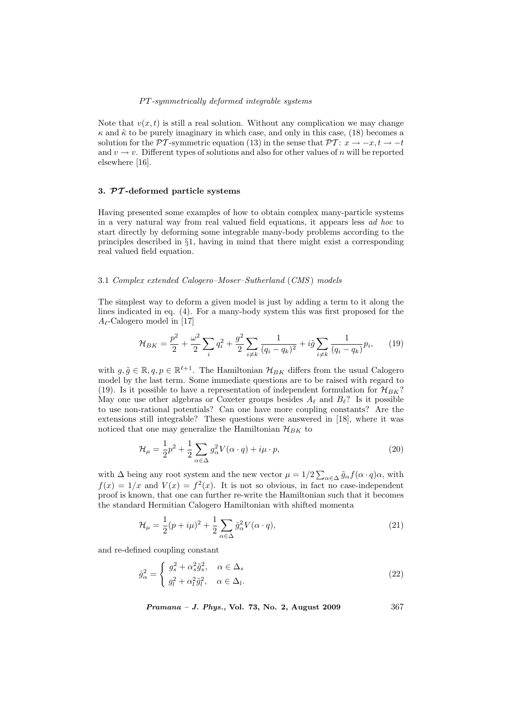Note that  $v(x, t)$  is still a real solution. Without any complication we may change  $\kappa$  and  $\tilde{\kappa}$  to be purely imaginary in which case, and only in this case, (18) becomes a solution for the PT-symmetric equation (13) in the sense that PT:  $x \to -x, t \to -t$ and  $v \to v$ . Different types of solutions and also for other values of n will be reported elsewhere [16].

## 3. PT -deformed particle systems

Having presented some examples of how to obtain complex many-particle systems in a very natural way from real valued field equations, it appears less ad hoc to start directly by deforming some integrable many-body problems according to the principles described in §1, having in mind that there might exist a corresponding real valued field equation.

## 3.1 Complex extended Calogero–Moser–Sutherland (CMS ) models

The simplest way to deform a given model is just by adding a term to it along the lines indicated in eq. (4). For a many-body system this was first proposed for the  $A_{\ell}$ -Calogero model in [17]

$$
\mathcal{H}_{BK} = \frac{p^2}{2} + \frac{\omega^2}{2} \sum_{i} q_i^2 + \frac{g^2}{2} \sum_{i \neq k} \frac{1}{(q_i - q_k)^2} + i\tilde{g} \sum_{i \neq k} \frac{1}{(q_i - q_k)} p_i, \qquad (19)
$$

with  $g, \tilde{g} \in \mathbb{R}, q, p \in \mathbb{R}^{\ell+1}$ . The Hamiltonian  $\mathcal{H}_{BK}$  differs from the usual Calogero model by the last term. Some immediate questions are to be raised with regard to (19). Is it possible to have a representation of independent formulation for  $\mathcal{H}_{BK}$ ? May one use other algebras or Coxeter groups besides  $A_\ell$  and  $B_\ell$ ? Is it possible to use non-rational potentials? Can one have more coupling constants? Are the extensions still integrable? These questions were answered in [18], where it was noticed that one may generalize the Hamiltonian  $\mathcal{H}_{BK}$  to

$$
\mathcal{H}_{\mu} = \frac{1}{2}p^2 + \frac{1}{2}\sum_{\alpha \in \Delta} g_{\alpha}^2 V(\alpha \cdot q) + i\mu \cdot p,
$$
\n(20)

with  $\Delta$  being any root system and the new vector  $\mu = 1/2 \sum_{\alpha \in \Delta} \tilde{g}_{\alpha} f(\alpha \cdot q) \alpha$ , with  $f(x) = 1/x$  and  $V(x) = f<sup>2</sup>(x)$ . It is not so obvious, in fact no case-independent proof is known, that one can further re-write the Hamiltonian such that it becomes the standard Hermitian Calogero Hamiltonian with shifted momenta

$$
\mathcal{H}_{\mu} = \frac{1}{2}(p + i\mu)^2 + \frac{1}{2}\sum_{\alpha \in \Delta} \hat{g}_{\alpha}^2 V(\alpha \cdot q), \tag{21}
$$

and re-defined coupling constant

$$
\hat{g}_{\alpha}^{2} = \begin{cases} g_{s}^{2} + \alpha_{s}^{2} \tilde{g}_{s}^{2}, & \alpha \in \Delta_{s} \\ g_{l}^{2} + \alpha_{l}^{2} \tilde{g}_{l}^{2}, & \alpha \in \Delta_{l} . \end{cases}
$$
\n(22)

*Pramana – J. Phys.*, Vol. 73, No. 2, August 2009  $367$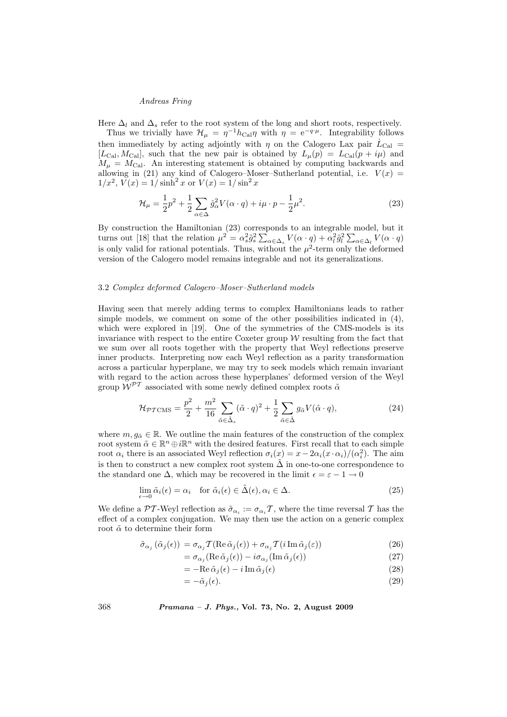Here  $\Delta_l$  and  $\Delta_s$  refer to the root system of the long and short roots, respectively.

Thus we trivially have  $\mathcal{H}_{\mu} = \eta^{-1} h_{\text{Cal}} \eta$  with  $\eta = e^{-q \cdot \mu}$ . Integrability follows then immediately by acting adjointly with  $\eta$  on the Calogero Lax pair  $\dot{L}_{Cal}$  = [ $L_{\text{Cal}}$ ,  $M_{\text{Cal}}$ ], such that the new pair is obtained by  $L_{\mu}(p) = L_{\text{Cal}}(p + i\mu)$  and  $M_{\mu} = M_{\text{Cal}}$ . An interesting statement is obtained by computing backwards and allowing in (21) any kind of Calogero–Moser–Sutherland potential, i.e.  $V(x)$  =  $1/x^2$ ,  $V(x) = 1/\sinh^2 x$  or  $V(x) = 1/\sin^2 x$ 

$$
\mathcal{H}_{\mu} = \frac{1}{2}p^2 + \frac{1}{2}\sum_{\alpha \in \Delta} \hat{g}_{\alpha}^2 V(\alpha \cdot q) + i\mu \cdot p - \frac{1}{2}\mu^2.
$$
 (23)

By construction the Hamiltonian  $(23)$  corresponds to an integrable model, but it turns out [18] that the relation  $\mu^2 = \alpha_s^2 \tilde{g}_s^2 \sum_{\alpha \in \Delta_s} V(\alpha \cdot q) + \alpha_l^2 \tilde{g}_l^2 \sum_{\alpha \in \Delta_l} V(\alpha \cdot q)$ is only valid for rational potentials. Thus, without the  $\mu^2$ -term only the deformed version of the Calogero model remains integrable and not its generalizations.

## 3.2 Complex deformed Calogero–Moser–Sutherland models

Having seen that merely adding terms to complex Hamiltonians leads to rather simple models, we comment on some of the other possibilities indicated in (4), which were explored in [19]. One of the symmetries of the CMS-models is its invariance with respect to the entire Coxeter group  $W$  resulting from the fact that we sum over all roots together with the property that Weyl reflections preserve inner products. Interpreting now each Weyl reflection as a parity transformation across a particular hyperplane, we may try to seek models which remain invariant with regard to the action across these hyperplanes' deformed version of the Weyl group  $\widetilde{\mathcal{W}}^{p}$  associated with some newly defined complex roots  $\widetilde{\alpha}$ 

$$
\mathcal{H}_{\mathcal{PT}CMS} = \frac{p^2}{2} + \frac{m^2}{16} \sum_{\tilde{\alpha} \in \tilde{\Delta}_s} (\tilde{\alpha} \cdot q)^2 + \frac{1}{2} \sum_{\tilde{\alpha} \in \tilde{\Delta}} g_{\tilde{\alpha}} V(\tilde{\alpha} \cdot q), \tag{24}
$$

where  $m, q_{\tilde{\alpha}} \in \mathbb{R}$ . We outline the main features of the construction of the complex root system  $\tilde{\alpha} \in \mathbb{R}^n \oplus i\mathbb{R}^n$  with the desired features. First recall that to each simple root  $\alpha_i$  there is an associated Weyl reflection  $\sigma_i(x) = x - 2\alpha_i(x \cdot \alpha_i) / (\alpha_i^2)$ . The aim is then to construct a new complex root system  $\tilde{\Delta}$  in one-to-one correspondence to the standard one  $\Delta$ , which may be recovered in the limit  $\epsilon = \epsilon - 1 \rightarrow 0$ 

$$
\lim_{\epsilon \to 0} \tilde{\alpha}_i(\epsilon) = \alpha_i \quad \text{for } \tilde{\alpha}_i(\epsilon) \in \tilde{\Delta}(\epsilon), \alpha_i \in \Delta. \tag{25}
$$

We define a PT-Weyl reflection as  $\tilde{\sigma}_{\alpha_i} := \sigma_{\alpha_i} \mathcal{T}$ , where the time reversal T has the effect of a complex conjugation. We may then use the action on a generic complex root  $\tilde{\alpha}$  to determine their form

$$
\tilde{\sigma}_{\alpha_j}(\tilde{\alpha}_j(\epsilon)) = \sigma_{\alpha_j} \mathcal{T}(\text{Re}\,\tilde{\alpha}_j(\epsilon)) + \sigma_{\alpha_j} \mathcal{T}(i \,\text{Im}\,\tilde{\alpha}_j(\epsilon))
$$
\n(26)

$$
= \sigma_{\alpha_j} (\text{Re}\,\tilde{\alpha}_j(\epsilon)) - i \sigma_{\alpha_j} (\text{Im}\,\tilde{\alpha}_j(\epsilon)) \tag{27}
$$

$$
= -\mathrm{Re}\,\tilde{\alpha}_j(\epsilon) - i\,\mathrm{Im}\,\tilde{\alpha}_j(\epsilon) \tag{28}
$$

$$
=-\tilde{\alpha}_j(\epsilon). \tag{29}
$$

368 Pramana – J. Phys., Vol. 73, No. 2, August 2009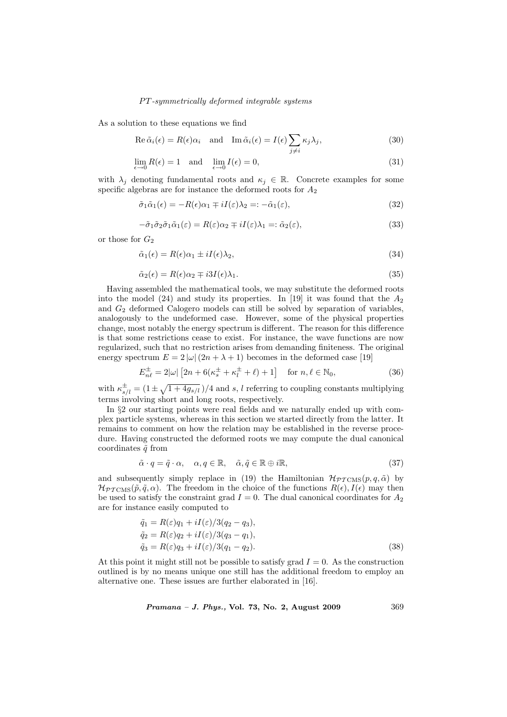As a solution to these equations we find

Re 
$$
\tilde{\alpha}_i(\epsilon) = R(\epsilon)\alpha_i
$$
 and Im  $\tilde{\alpha}_i(\epsilon) = I(\epsilon) \sum_{j \neq i} \kappa_j \lambda_j$ , (30)

$$
\lim_{\epsilon \to 0} R(\epsilon) = 1 \quad \text{and} \quad \lim_{\epsilon \to 0} I(\epsilon) = 0,\tag{31}
$$

with  $\lambda_j$  denoting fundamental roots and  $\kappa_j \in \mathbb{R}$ . Concrete examples for some specific algebras are for instance the deformed roots for  $A_2$ 

$$
\tilde{\sigma}_1 \tilde{\alpha}_1(\epsilon) = -R(\epsilon)\alpha_1 \mp iI(\epsilon)\lambda_2 =: -\tilde{\alpha}_1(\epsilon),\tag{32}
$$

$$
-\tilde{\sigma}_1 \tilde{\sigma}_2 \tilde{\sigma}_1 \tilde{\alpha}_1(\varepsilon) = R(\varepsilon) \alpha_2 \mp iI(\varepsilon) \lambda_1 =: \tilde{\alpha}_2(\varepsilon), \tag{33}
$$

or those for  $G_2$ 

$$
\tilde{\alpha}_1(\epsilon) = R(\epsilon)\alpha_1 \pm iI(\epsilon)\lambda_2,\tag{34}
$$

$$
\tilde{\alpha}_2(\epsilon) = R(\epsilon)\alpha_2 \mp i3I(\epsilon)\lambda_1. \tag{35}
$$

Having assembled the mathematical tools, we may substitute the deformed roots into the model (24) and study its properties. In [19] it was found that the  $A_2$ and  $G_2$  deformed Calogero models can still be solved by separation of variables, analogously to the undeformed case. However, some of the physical properties change, most notably the energy spectrum is different. The reason for this difference is that some restrictions cease to exist. For instance, the wave functions are now regularized, such that no restriction arises from demanding finiteness. The original energy spectrum  $E = 2 |\omega| (2n + \lambda + 1)$  becomes in the deformed case [19]

$$
E_{n\ell}^{\pm} = 2|\omega| \left[2n + 6(\kappa_s^{\pm} + \kappa_l^{\pm} + \ell) + 1\right] \quad \text{for } n, \ell \in \mathbb{N}_0,
$$
\n(36)

with  $\kappa_{s/l}^{\pm} = (1 \pm \sqrt{1 + 4g_{s/l}})/4$  and s, l referring to coupling constants multiplying terms involving short and long roots, respectively.

In §2 our starting points were real fields and we naturally ended up with complex particle systems, whereas in this section we started directly from the latter. It remains to comment on how the relation may be established in the reverse procedure. Having constructed the deformed roots we may compute the dual canonical coordinates  $\tilde{q}$  from

$$
\tilde{\alpha} \cdot q = \tilde{q} \cdot \alpha, \quad \alpha, q \in \mathbb{R}, \quad \tilde{\alpha}, \tilde{q} \in \mathbb{R} \oplus i\mathbb{R}, \tag{37}
$$

and subsequently simply replace in (19) the Hamiltonian  $\mathcal{H}_{PT\text{CMS}}(p,q,\tilde{\alpha})$  by  $\mathcal{H}_{PTCMS}(\tilde{p}, \tilde{q}, \alpha)$ . The freedom in the choice of the functions  $R(\epsilon), I(\epsilon)$  may then be used to satisfy the constraint grad  $I = 0$ . The dual canonical coordinates for  $A_2$ are for instance easily computed to

$$
\tilde{q}_1 = R(\varepsilon)q_1 + iI(\varepsilon)/3(q_2 - q_3),
$$
  
\n
$$
\tilde{q}_2 = R(\varepsilon)q_2 + iI(\varepsilon)/3(q_3 - q_1),
$$
  
\n
$$
\tilde{q}_3 = R(\varepsilon)q_3 + iI(\varepsilon)/3(q_1 - q_2).
$$
\n(38)

At this point it might still not be possible to satisfy grad  $I = 0$ . As the construction outlined is by no means unique one still has the additional freedom to employ an alternative one. These issues are further elaborated in [16].

Pramana – J. Phys., Vol. 73, No. 2, August 2009 369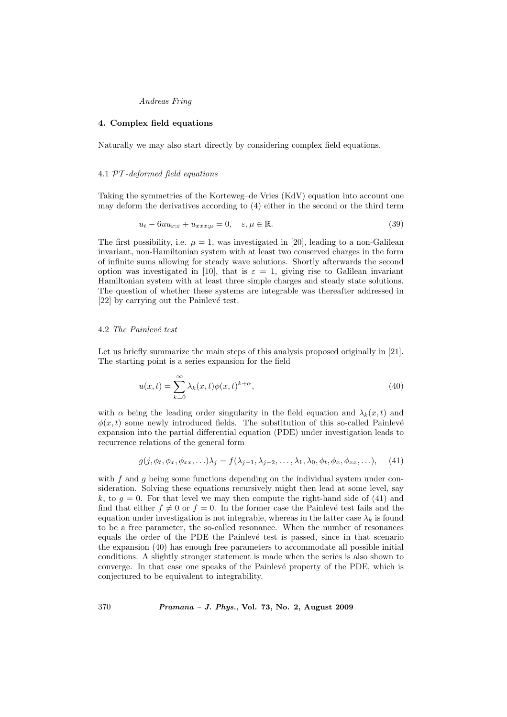## 4. Complex field equations

Naturally we may also start directly by considering complex field equations.

#### 4.1 PT -deformed field equations

Taking the symmetries of the Korteweg–de Vries (KdV) equation into account one may deform the derivatives according to (4) either in the second or the third term

$$
u_t - 6uu_{x;\varepsilon} + u_{xxx;\mu} = 0, \quad \varepsilon, \mu \in \mathbb{R}.\tag{39}
$$

The first possibility, i.e.  $\mu = 1$ , was investigated in [20], leading to a non-Galilean invariant, non-Hamiltonian system with at least two conserved charges in the form of infinite sums allowing for steady wave solutions. Shortly afterwards the second option was investigated in [10], that is  $\varepsilon = 1$ , giving rise to Galilean invariant Hamiltonian system with at least three simple charges and steady state solutions. The question of whether these systems are integrable was thereafter addressed in [22] by carrying out the Painlevé test.

# 4.2 The Painlevé test

Let us briefly summarize the main steps of this analysis proposed originally in [21]. The starting point is a series expansion for the field

$$
u(x,t) = \sum_{k=0}^{\infty} \lambda_k(x,t) \phi(x,t)^{k+\alpha},\tag{40}
$$

with  $\alpha$  being the leading order singularity in the field equation and  $\lambda_k(x, t)$  and  $\phi(x, t)$  some newly introduced fields. The substitution of this so-called Painlevé expansion into the partial differential equation (PDE) under investigation leads to recurrence relations of the general form

$$
g(j, \phi_t, \phi_x, \phi_{xx}, \ldots) \lambda_j = f(\lambda_{j-1}, \lambda_{j-2}, \ldots, \lambda_1, \lambda_0, \phi_t, \phi_x, \phi_{xx}, \ldots), \quad (41)
$$

with  $f$  and  $g$  being some functions depending on the individual system under consideration. Solving these equations recursively might then lead at some level, say k, to  $g = 0$ . For that level we may then compute the right-hand side of (41) and find that either  $f \neq 0$  or  $f = 0$ . In the former case the Painlevé test fails and the equation under investigation is not integrable, whereas in the latter case  $\lambda_k$  is found to be a free parameter, the so-called resonance. When the number of resonances equals the order of the PDE the Painlevé test is passed, since in that scenario the expansion (40) has enough free parameters to accommodate all possible initial conditions. A slightly stronger statement is made when the series is also shown to converge. In that case one speaks of the Painlevé property of the PDE, which is conjectured to be equivalent to integrability.

370 Pramana – J. Phys., Vol. 73, No. 2, August 2009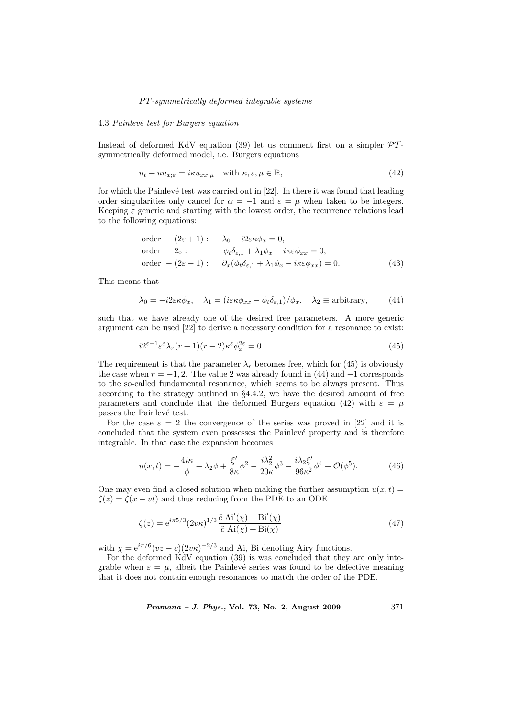# 4.3 Painlevé test for Burgers equation

Instead of deformed KdV equation (39) let us comment first on a simpler  $\mathcal{PT}$ symmetrically deformed model, i.e. Burgers equations

$$
u_t + uu_{x;\varepsilon} = i\kappa u_{xx;\mu} \quad \text{with } \kappa, \varepsilon, \mu \in \mathbb{R}, \tag{42}
$$

for which the Painlevé test was carried out in  $[22]$ . In there it was found that leading order singularities only cancel for  $\alpha = -1$  and  $\varepsilon = \mu$  when taken to be integers. Keeping  $\varepsilon$  generic and starting with the lowest order, the recurrence relations lead to the following equations:

order 
$$
-(2\varepsilon + 1)
$$
:  $\lambda_0 + i2\varepsilon\kappa\phi_x = 0$ ,  
\norder  $-2\varepsilon$ :  $\phi_t \delta_{\varepsilon,1} + \lambda_1 \phi_x - i\kappa\varepsilon\phi_{xx} = 0$ ,  
\norder  $-(2\varepsilon - 1)$ :  $\partial_x(\phi_t \delta_{\varepsilon,1} + \lambda_1 \phi_x - i\kappa\varepsilon\phi_{xx}) = 0$ . (43)

This means that

$$
\lambda_0 = -i2\varepsilon\kappa\phi_x, \quad \lambda_1 = (i\varepsilon\kappa\phi_{xx} - \phi_t\delta_{\varepsilon,1})/\phi_x, \quad \lambda_2 \equiv \text{arbitrary}, \tag{44}
$$

such that we have already one of the desired free parameters. A more generic argument can be used [22] to derive a necessary condition for a resonance to exist:

$$
i2^{\varepsilon - 1} \varepsilon^{\varepsilon} \lambda_r (r+1)(r-2) \kappa^{\varepsilon} \phi_x^{2\varepsilon} = 0. \tag{45}
$$

The requirement is that the parameter  $\lambda_r$  becomes free, which for (45) is obviously the case when  $r = -1, 2$ . The value 2 was already found in (44) and  $-1$  corresponds to the so-called fundamental resonance, which seems to be always present. Thus according to the strategy outlined in §4.4.2, we have the desired amount of free parameters and conclude that the deformed Burgers equation (42) with  $\varepsilon = \mu$ passes the Painlevé test.

For the case  $\varepsilon = 2$  the convergence of the series was proved in [22] and it is concluded that the system even possesses the Painlevé property and is therefore integrable. In that case the expansion becomes

$$
u(x,t) = -\frac{4i\kappa}{\phi} + \lambda_2 \phi + \frac{\xi'}{8\kappa} \phi^2 - \frac{i\lambda_2^2}{20\kappa} \phi^3 - \frac{i\lambda_2 \xi'}{96\kappa^2} \phi^4 + \mathcal{O}(\phi^5). \tag{46}
$$

One may even find a closed solution when making the further assumption  $u(x, t) =$  $\zeta(z) = \zeta(x - vt)$  and thus reducing from the PDE to an ODE

$$
\zeta(z) = e^{i\pi 5/3} (2v\kappa)^{1/3} \frac{\tilde{c} \operatorname{Ai}'(\chi) + \operatorname{Bi}'(\chi)}{\tilde{c} \operatorname{Ai}(\chi) + \operatorname{Bi}(\chi)}
$$
(47)

with  $\chi = e^{i\pi/6} (vz - c)(2v\kappa)^{-2/3}$  and Ai, Bi denoting Airy functions.

For the deformed KdV equation (39) is was concluded that they are only integrable when  $\varepsilon = \mu$ , albeit the Painlevé series was found to be defective meaning that it does not contain enough resonances to match the order of the PDE.

*Pramana – J. Phys.*, Vol. 73, No. 2, August 2009  $371$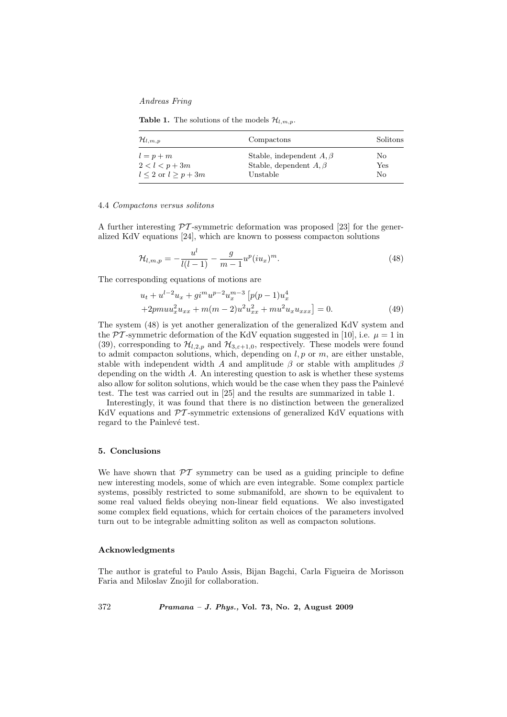**Table 1.** The solutions of the models  $\mathcal{H}_{l,m,p}$ .

| $\mathcal{H}_{l,m,p}$       | Compactons                     | Solitons |
|-----------------------------|--------------------------------|----------|
| $l = p + m$                 | Stable, independent $A, \beta$ | No       |
| $2 < l < p + 3m$            | Stable, dependent $A, \beta$   | Yes      |
| $l \leq 2$ or $l \geq p+3m$ | Unstable                       | No       |

#### 4.4 Compactons versus solitons

A further interesting  $\mathcal{P}T$ -symmetric deformation was proposed [23] for the generalized KdV equations [24], which are known to possess compacton solutions

$$
\mathcal{H}_{l,m,p} = -\frac{u^l}{l(l-1)} - \frac{g}{m-1} u^p (iu_x)^m.
$$
\n(48)

The corresponding equations of motions are

$$
u_t + u^{l-2}u_x + gi^m u^{p-2} u_x^{m-3} \left[ p(p-1)u_x^4 + 2pmu_x^2 u_{xx} + m(m-2)u^2 u_{xx}^2 + mu^2 u_x u_{xxx} \right] = 0.
$$
 (49)

The system (48) is yet another generalization of the generalized KdV system and the PT-symmetric deformation of the KdV equation suggested in [10], i.e.  $\mu = 1$  in (39), corresponding to  $\mathcal{H}_{l,2,p}$  and  $\mathcal{H}_{3,\epsilon+1,0}$ , respectively. These models were found to admit compacton solutions, which, depending on  $l, p$  or  $m$ , are either unstable, stable with independent width A and amplitude  $\beta$  or stable with amplitudes  $\beta$ depending on the width  $A$ . An interesting question to ask is whether these systems also allow for soliton solutions, which would be the case when they pass the Painlevé test. The test was carried out in [25] and the results are summarized in table 1.

Interestingly, it was found that there is no distinction between the generalized KdV equations and  $\mathcal{P}\mathcal{T}$ -symmetric extensions of generalized KdV equations with regard to the Painlevé test.

#### 5. Conclusions

We have shown that  $\mathcal{PT}$  symmetry can be used as a guiding principle to define new interesting models, some of which are even integrable. Some complex particle systems, possibly restricted to some submanifold, are shown to be equivalent to some real valued fields obeying non-linear field equations. We also investigated some complex field equations, which for certain choices of the parameters involved turn out to be integrable admitting soliton as well as compacton solutions.

## Acknowledgments

The author is grateful to Paulo Assis, Bijan Bagchi, Carla Figueira de Morisson Faria and Miloslav Znojil for collaboration.